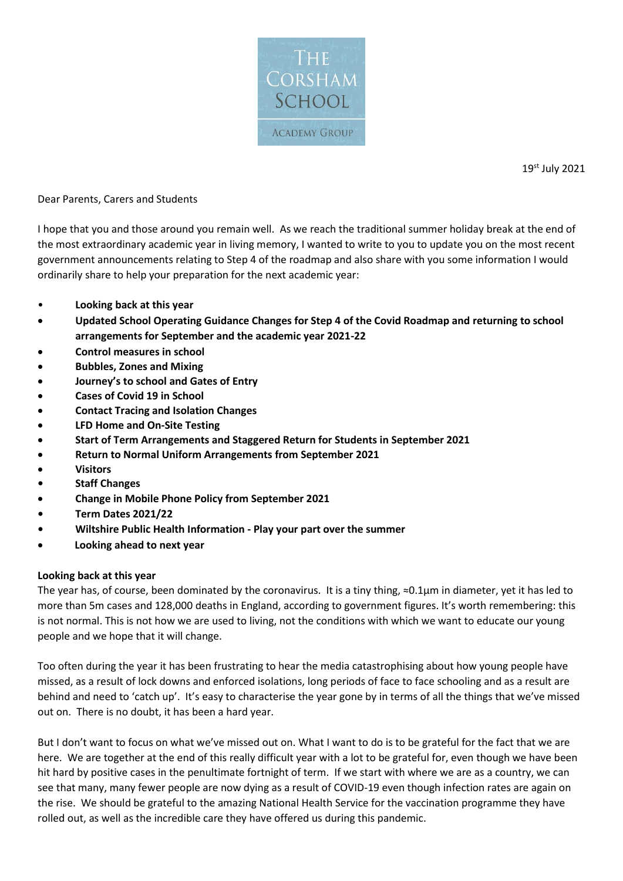

19st July 2021

Dear Parents, Carers and Students

I hope that you and those around you remain well. As we reach the traditional summer holiday break at the end of the most extraordinary academic year in living memory, I wanted to write to you to update you on the most recent government announcements relating to Step 4 of the roadmap and also share with you some information I would ordinarily share to help your preparation for the next academic year:

- **Looking back at this year**
- **Updated School Operating Guidance Changes for Step 4 of the Covid Roadmap and returning to school arrangements for September and the academic year 2021-22**
- **Control measures in school**
- **Bubbles, Zones and Mixing**
- **Journey's to school and Gates of Entry**
- **Cases of Covid 19 in School**
- **Contact Tracing and Isolation Changes**
- **LFD Home and On-Site Testing**
- **Start of Term Arrangements and Staggered Return for Students in September 2021**
- **Return to Normal Uniform Arrangements from September 2021**
- **Visitors**
- **• Staff Changes**
- **Change in Mobile Phone Policy from September 2021**
- **• Term Dates 2021/22**
- **• Wiltshire Public Health Information - Play your part over the summer**
- **Looking ahead to next year**

## **Looking back at this year**

The year has, of course, been dominated by the coronavirus. It is a tiny thing, ≈0.1μm in diameter, yet it has led to more than 5m cases and 128,000 deaths in England, according to government figures. It's worth remembering: this is not normal. This is not how we are used to living, not the conditions with which we want to educate our young people and we hope that it will change.

Too often during the year it has been frustrating to hear the media catastrophising about how young people have missed, as a result of lock downs and enforced isolations, long periods of face to face schooling and as a result are behind and need to 'catch up'. It's easy to characterise the year gone by in terms of all the things that we've missed out on. There is no doubt, it has been a hard year.

But I don't want to focus on what we've missed out on. What I want to do is to be grateful for the fact that we are here. We are together at the end of this really difficult year with a lot to be grateful for, even though we have been hit hard by positive cases in the penultimate fortnight of term. If we start with where we are as a country, we can see that many, many fewer people are now dying as a result of COVID-19 even though infection rates are again on the rise. We should be grateful to the amazing National Health Service for the vaccination programme they have rolled out, as well as the incredible care they have offered us during this pandemic.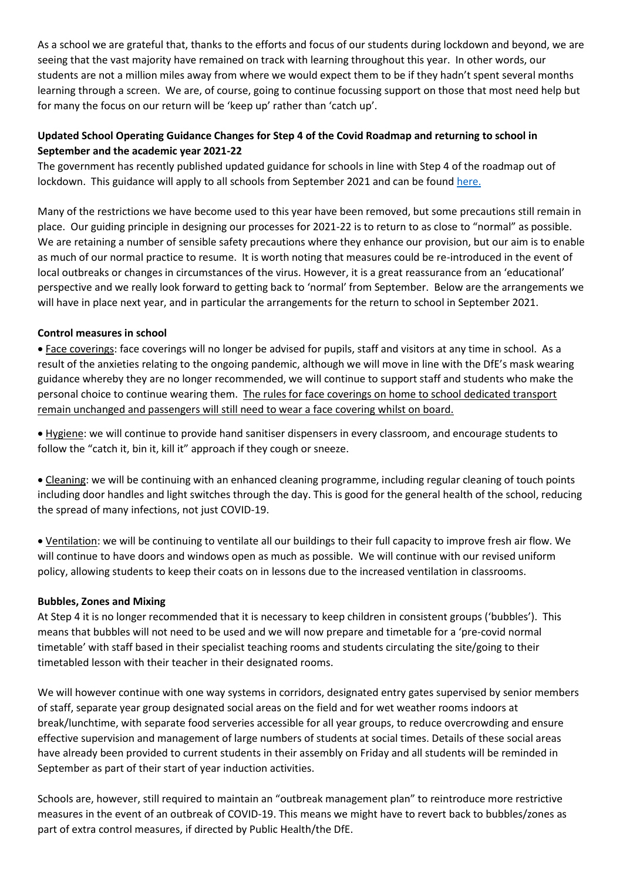As a school we are grateful that, thanks to the efforts and focus of our students during lockdown and beyond, we are seeing that the vast majority have remained on track with learning throughout this year. In other words, our students are not a million miles away from where we would expect them to be if they hadn't spent several months learning through a screen. We are, of course, going to continue focussing support on those that most need help but for many the focus on our return will be 'keep up' rather than 'catch up'.

# **Updated School Operating Guidance Changes for Step 4 of the Covid Roadmap and returning to school in September and the academic year 2021-22**

The government has recently published updated guidance for schools in line with Step 4 of the roadmap out of lockdown. This guidance will apply to all schools from September 2021 and can be foun[d here.](https://eur01.safelinks.protection.outlook.com/?url=https%3A%2F%2Fwww.gov.uk%2Fgovernment%2Fpublications%2Factions-for-schools-during-the-coronavirus-outbreak%2Fschools-covid-19-operational-guidance&data=04%7C01%7Cheadssecretary%40corsham.wilts.sch.uk%7Ca9c3311a9eca427be70708d94aa3436c%7Cae2d489627854217a0ae572acf3597f9%7C0%7C0%7C637622887326593678%7CUnknown%7CTWFpbGZsb3d8eyJWIjoiMC4wLjAwMDAiLCJQIjoiV2luMzIiLCJBTiI6Ik1haWwiLCJXVCI6Mn0%3D%7C1000&sdata=y6ug9t3fmwZAefwDPxfIKw4NehLbZpr4Myn%2FhB4IQLU%3D&reserved=0)

Many of the restrictions we have become used to this year have been removed, but some precautions still remain in place. Our guiding principle in designing our processes for 2021-22 is to return to as close to "normal" as possible. We are retaining a number of sensible safety precautions where they enhance our provision, but our aim is to enable as much of our normal practice to resume. It is worth noting that measures could be re-introduced in the event of local outbreaks or changes in circumstances of the virus. However, it is a great reassurance from an 'educational' perspective and we really look forward to getting back to 'normal' from September. Below are the arrangements we will have in place next year, and in particular the arrangements for the return to school in September 2021.

## **Control measures in school**

• Face coverings: face coverings will no longer be advised for pupils, staff and visitors at any time in school. As a result of the anxieties relating to the ongoing pandemic, although we will move in line with the DfE's mask wearing guidance whereby they are no longer recommended, we will continue to support staff and students who make the personal choice to continue wearing them. The rules for face coverings on home to school dedicated transport remain unchanged and passengers will still need to wear a face covering whilst on board.

• Hygiene: we will continue to provide hand sanitiser dispensers in every classroom, and encourage students to follow the "catch it, bin it, kill it" approach if they cough or sneeze.

• Cleaning: we will be continuing with an enhanced cleaning programme, including regular cleaning of touch points including door handles and light switches through the day. This is good for the general health of the school, reducing the spread of many infections, not just COVID-19.

• Ventilation: we will be continuing to ventilate all our buildings to their full capacity to improve fresh air flow. We will continue to have doors and windows open as much as possible. We will continue with our revised uniform policy, allowing students to keep their coats on in lessons due to the increased ventilation in classrooms.

#### **Bubbles, Zones and Mixing**

At Step 4 it is no longer recommended that it is necessary to keep children in consistent groups ('bubbles'). This means that bubbles will not need to be used and we will now prepare and timetable for a 'pre-covid normal timetable' with staff based in their specialist teaching rooms and students circulating the site/going to their timetabled lesson with their teacher in their designated rooms.

We will however continue with one way systems in corridors, designated entry gates supervised by senior members of staff, separate year group designated social areas on the field and for wet weather rooms indoors at break/lunchtime, with separate food serveries accessible for all year groups, to reduce overcrowding and ensure effective supervision and management of large numbers of students at social times. Details of these social areas have already been provided to current students in their assembly on Friday and all students will be reminded in September as part of their start of year induction activities.

Schools are, however, still required to maintain an "outbreak management plan" to reintroduce more restrictive measures in the event of an outbreak of COVID-19. This means we might have to revert back to bubbles/zones as part of extra control measures, if directed by Public Health/the DfE.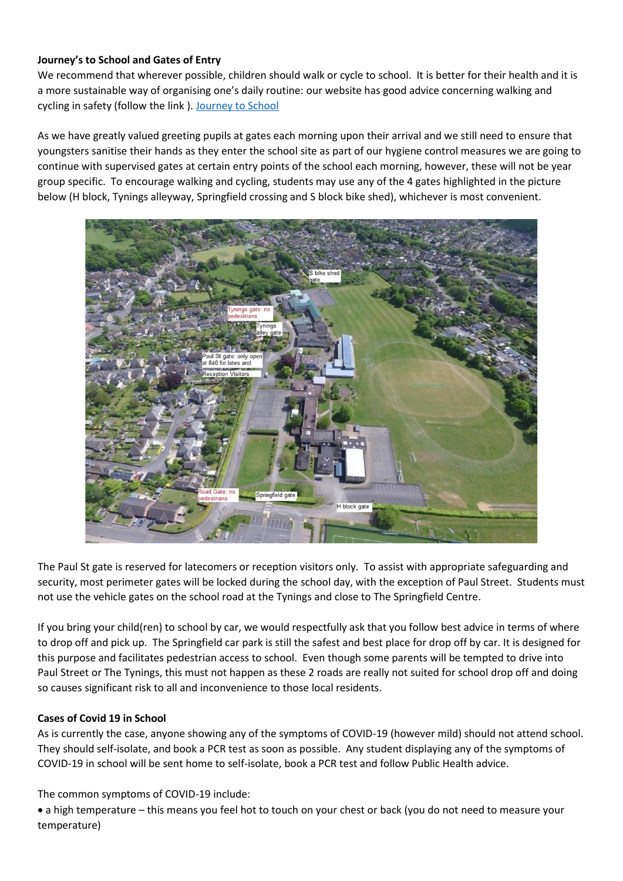# **Journey's to School and Gates of Entry**

We recommend that wherever possible, children should walk or cycle to school. It is better for their health and it is a more sustainable way of organising one's daily routine: our website has good advice concerning walking and cycling in safety (follow the link ). [Journey to School](https://eur01.safelinks.protection.outlook.com/?url=https%3A%2F%2Fwww.corsham.wilts.sch.uk%2Fpage%2F%3Ftitle%3DJourney%2Bto%2BSchool%26pid%3D219&data=04%7C01%7CRBell%40corsham.wilts.sch.uk%7Cb24be86f6525498db58e08d94757903f%7Cae2d489627854217a0ae572acf3597f9%7C0%7C0%7C637619263663922319%7CUnknown%7CTWFpbGZsb3d8eyJWIjoiMC4wLjAwMDAiLCJQIjoiV2luMzIiLCJBTiI6Ik1haWwiLCJXVCI6Mn0%3D%7C1000&sdata=Ai8AjCSxPBnkJQtIrsY4GE76y1G7ALpT14dkVaS4Nlw%3D&reserved=0)

As we have greatly valued greeting pupils at gates each morning upon their arrival and we still need to ensure that youngsters sanitise their hands as they enter the school site as part of our hygiene control measures we are going to continue with supervised gates at certain entry points of the school each morning, however, these will not be year group specific. To encourage walking and cycling, students may use any of the 4 gates highlighted in the picture below (H block, Tynings alleyway, Springfield crossing and S block bike shed), whichever is most convenient.



The Paul St gate is reserved for latecomers or reception visitors only. To assist with appropriate safeguarding and security, most perimeter gates will be locked during the school day, with the exception of Paul Street. Students must not use the vehicle gates on the school road at the Tynings and close to The Springfield Centre.

If you bring your child(ren) to school by car, we would respectfully ask that you follow best advice in terms of where to drop off and pick up. The Springfield car park is still the safest and best place for drop off by car. It is designed for this purpose and facilitates pedestrian access to school. Even though some parents will be tempted to drive into Paul Street or The Tynings, this must not happen as these 2 roads are really not suited for school drop off and doing so causes significant risk to all and inconvenience to those local residents.

## **Cases of Covid 19 in School**

As is currently the case, anyone showing any of the symptoms of COVID-19 (however mild) should not attend school. They should self-isolate, and book a PCR test as soon as possible. Any student displaying any of the symptoms of COVID-19 in school will be sent home to self-isolate, book a PCR test and follow Public Health advice.

The common symptoms of COVID-19 include:

• a high temperature – this means you feel hot to touch on your chest or back (you do not need to measure your temperature)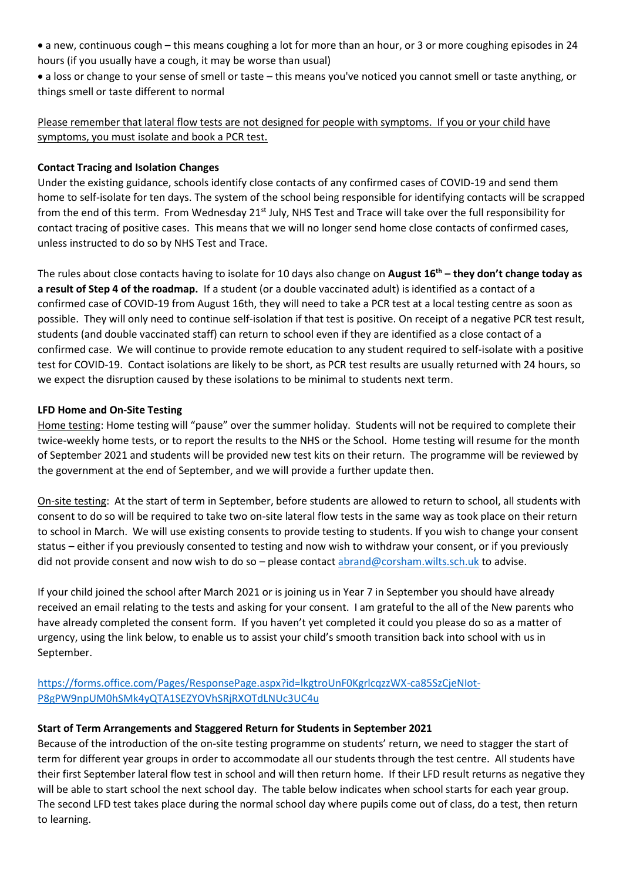- a new, continuous cough this means coughing a lot for more than an hour, or 3 or more coughing episodes in 24 hours (if you usually have a cough, it may be worse than usual)
- a loss or change to your sense of smell or taste this means you've noticed you cannot smell or taste anything, or things smell or taste different to normal

# Please remember that lateral flow tests are not designed for people with symptoms. If you or your child have symptoms, you must isolate and book a PCR test.

### **Contact Tracing and Isolation Changes**

Under the existing guidance, schools identify close contacts of any confirmed cases of COVID-19 and send them home to self-isolate for ten days. The system of the school being responsible for identifying contacts will be scrapped from the end of this term. From Wednesday 21<sup>st</sup> July, NHS Test and Trace will take over the full responsibility for contact tracing of positive cases. This means that we will no longer send home close contacts of confirmed cases, unless instructed to do so by NHS Test and Trace.

The rules about close contacts having to isolate for 10 days also change on **August 16th – they don't change today as a result of Step 4 of the roadmap.** If a student (or a double vaccinated adult) is identified as a contact of a confirmed case of COVID-19 from August 16th, they will need to take a PCR test at a local testing centre as soon as possible. They will only need to continue self-isolation if that test is positive. On receipt of a negative PCR test result, students (and double vaccinated staff) can return to school even if they are identified as a close contact of a confirmed case. We will continue to provide remote education to any student required to self-isolate with a positive test for COVID-19. Contact isolations are likely to be short, as PCR test results are usually returned with 24 hours, so we expect the disruption caused by these isolations to be minimal to students next term.

### **LFD Home and On-Site Testing**

Home testing: Home testing will "pause" over the summer holiday. Students will not be required to complete their twice-weekly home tests, or to report the results to the NHS or the School. Home testing will resume for the month of September 2021 and students will be provided new test kits on their return. The programme will be reviewed by the government at the end of September, and we will provide a further update then.

On-site testing: At the start of term in September, before students are allowed to return to school, all students with consent to do so will be required to take two on-site lateral flow tests in the same way as took place on their return to school in March. We will use existing consents to provide testing to students. If you wish to change your consent status – either if you previously consented to testing and now wish to withdraw your consent, or if you previously did not provide consent and now wish to do so – please contact [abrand@corsham.wilts.sch.uk](mailto:abrand@corsham.wilts.sch.uk) to advise.

If your child joined the school after March 2021 or is joining us in Year 7 in September you should have already received an email relating to the tests and asking for your consent. I am grateful to the all of the New parents who have already completed the consent form. If you haven't yet completed it could you please do so as a matter of urgency, using the link below, to enable us to assist your child's smooth transition back into school with us in September.

[https://forms.office.com/Pages/ResponsePage.aspx?id=lkgtroUnF0KgrlcqzzWX-ca85SzCjeNIot-](https://forms.office.com/Pages/ResponsePage.aspx?id=lkgtroUnF0KgrlcqzzWX-ca85SzCjeNIot-P8gPW9npUM0hSMk4yQTA1SEZYOVhSRjRXOTdLNUc3UC4u)[P8gPW9npUM0hSMk4yQTA1SEZYOVhSRjRXOTdLNUc3UC4u](https://forms.office.com/Pages/ResponsePage.aspx?id=lkgtroUnF0KgrlcqzzWX-ca85SzCjeNIot-P8gPW9npUM0hSMk4yQTA1SEZYOVhSRjRXOTdLNUc3UC4u)

#### **Start of Term Arrangements and Staggered Return for Students in September 2021**

Because of the introduction of the on-site testing programme on students' return, we need to stagger the start of term for different year groups in order to accommodate all our students through the test centre. All students have their first September lateral flow test in school and will then return home. If their LFD result returns as negative they will be able to start school the next school day. The table below indicates when school starts for each year group. The second LFD test takes place during the normal school day where pupils come out of class, do a test, then return to learning.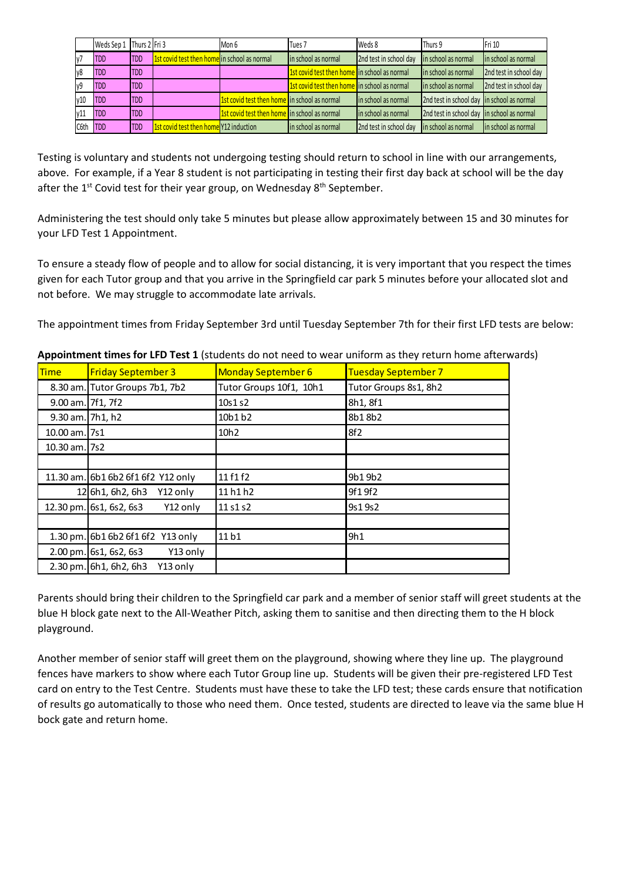|                | Weds Sep 1 Thurs 2 Fri 3 |            |                                              | Mon 6                                               | Tues <sub>7</sub>                                   | Weds 8                 | Thurs 9                                    | Fri 10                 |
|----------------|--------------------------|------------|----------------------------------------------|-----------------------------------------------------|-----------------------------------------------------|------------------------|--------------------------------------------|------------------------|
| V <sub>1</sub> | <b>TDD</b>               | <b>TDD</b> | 1st covid test then home in school as normal |                                                     | lin school as normal                                | 2nd test in school day | in school as normal                        | in school as normal    |
| y8             | <b>TDD</b>               | <b>TDD</b> |                                              |                                                     | 1st covid test then home in school as normal        |                        | lin school as normal                       | 2nd test in school day |
| y9             | <b>TDD</b>               | <b>TDD</b> |                                              |                                                     | <b>1st covid test then home</b> in school as normal |                        | lin school as normal                       | 2nd test in school day |
| v10            | <b>TDD</b>               | <b>TDD</b> |                                              | <b>1st covid test then home</b> in school as normal |                                                     | in school as normal    | 2nd test in school day in school as normal |                        |
| v11            | <b>TDD</b>               | <b>TDD</b> |                                              | 1st covid test then home in school as normal        |                                                     | in school as normal    | 2nd test in school day in school as normal |                        |
| C6th           | <b>TDD</b>               | <b>TDD</b> | 1st covid test then home Y12 induction       |                                                     | in school as normal                                 | 2nd test in school day | in school as normal                        | in school as normal    |

Testing is voluntary and students not undergoing testing should return to school in line with our arrangements, above. For example, if a Year 8 student is not participating in testing their first day back at school will be the day after the  $1<sup>st</sup>$  Covid test for their year group, on Wednesday  $8<sup>th</sup>$  September.

Administering the test should only take 5 minutes but please allow approximately between 15 and 30 minutes for your LFD Test 1 Appointment.

To ensure a steady flow of people and to allow for social distancing, it is very important that you respect the times given for each Tutor group and that you arrive in the Springfield car park 5 minutes before your allocated slot and not before. We may struggle to accommodate late arrivals.

The appointment times from Friday September 3rd until Tuesday September 7th for their first LFD tests are below:

| <b>Time</b>       | <b>Friday September 3</b>            | <b>Monday September 6</b> | Tuesday September 7   |
|-------------------|--------------------------------------|---------------------------|-----------------------|
|                   | 8.30 am. Tutor Groups 7b1, 7b2       | Tutor Groups 10f1, 10h1   | Tutor Groups 8s1, 8h2 |
| 9.00 am. 7f1, 7f2 |                                      | 10s1 s2                   | 8h1, 8f1              |
| 9.30 am. 7h1, h2  |                                      | 10b1 b2                   | 8b18b2                |
| 10.00 am. 7s1     |                                      | 10h <sub>2</sub>          | 8f2                   |
| 10.30 am. 7s2     |                                      |                           |                       |
|                   |                                      |                           |                       |
|                   | 11.30 am. 6b1 6b2 6f1 6f2 Y12 only   | 11 f 1 f 2                | 9b19b2                |
| 12                | 6h1, 6h2, 6h3<br>Y12 only            | 11 h 1 h 2                | 9f19f2                |
|                   | 12.30 pm. 6s1, 6s2, 6s3<br>Y12 only  | 11 s 1 s 2                | 9s19s2                |
|                   |                                      |                           |                       |
|                   | 1.30 pm. 6b1 6b2 6f1 6f2 Y13 only    | 11b1                      | 9h1                   |
|                   | 2.00 pm. 6s1, 6s2, 6s3<br>Y13 only   |                           |                       |
|                   | $2.30$ pm. 6h1, 6h2, 6h3<br>Y13 only |                           |                       |

**Appointment times for LFD Test 1** (students do not need to wear uniform as they return home afterwards)

Parents should bring their children to the Springfield car park and a member of senior staff will greet students at the blue H block gate next to the All-Weather Pitch, asking them to sanitise and then directing them to the H block playground.

Another member of senior staff will greet them on the playground, showing where they line up. The playground fences have markers to show where each Tutor Group line up. Students will be given their pre-registered LFD Test card on entry to the Test Centre. Students must have these to take the LFD test; these cards ensure that notification of results go automatically to those who need them. Once tested, students are directed to leave via the same blue H bock gate and return home.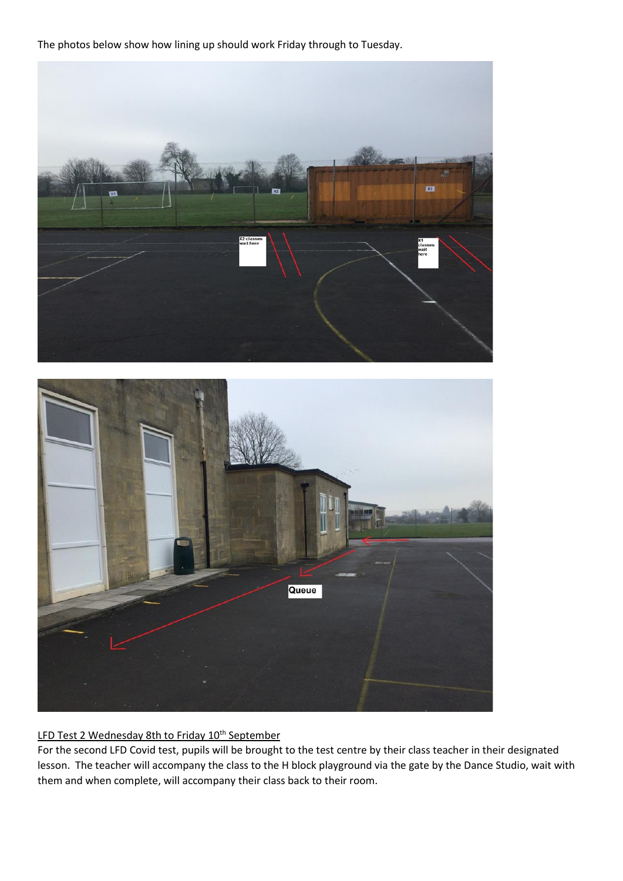The photos below show how lining up should work Friday through to Tuesday.





# LFD Test 2 Wednesday 8th to Friday 10<sup>th</sup> September

For the second LFD Covid test, pupils will be brought to the test centre by their class teacher in their designated lesson. The teacher will accompany the class to the H block playground via the gate by the Dance Studio, wait with them and when complete, will accompany their class back to their room.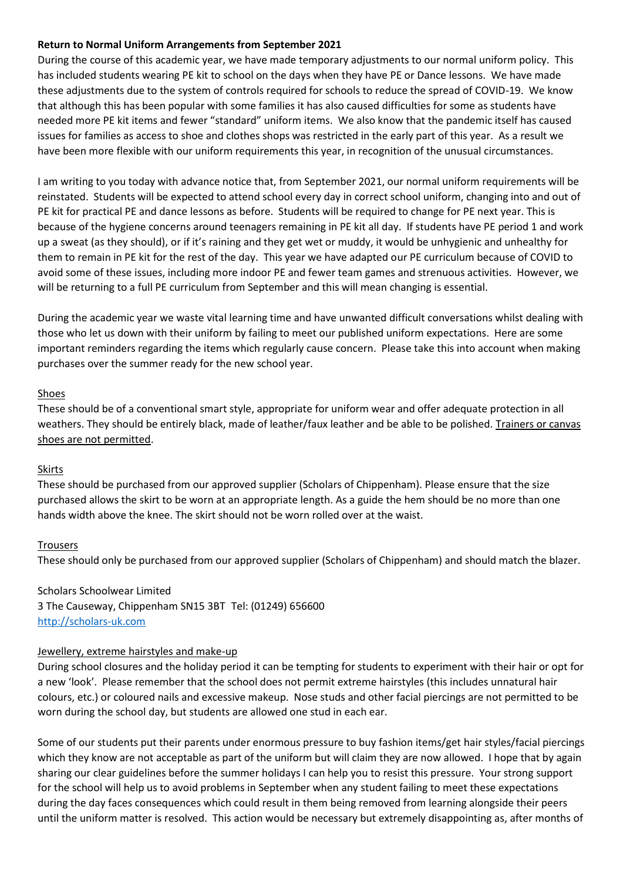### **Return to Normal Uniform Arrangements from September 2021**

During the course of this academic year, we have made temporary adjustments to our normal uniform policy. This has included students wearing PE kit to school on the days when they have PE or Dance lessons. We have made these adjustments due to the system of controls required for schools to reduce the spread of COVID-19. We know that although this has been popular with some families it has also caused difficulties for some as students have needed more PE kit items and fewer "standard" uniform items. We also know that the pandemic itself has caused issues for families as access to shoe and clothes shops was restricted in the early part of this year. As a result we have been more flexible with our uniform requirements this year, in recognition of the unusual circumstances.

I am writing to you today with advance notice that, from September 2021, our normal uniform requirements will be reinstated. Students will be expected to attend school every day in correct school uniform, changing into and out of PE kit for practical PE and dance lessons as before. Students will be required to change for PE next year. This is because of the hygiene concerns around teenagers remaining in PE kit all day. If students have PE period 1 and work up a sweat (as they should), or if it's raining and they get wet or muddy, it would be unhygienic and unhealthy for them to remain in PE kit for the rest of the day. This year we have adapted our PE curriculum because of COVID to avoid some of these issues, including more indoor PE and fewer team games and strenuous activities. However, we will be returning to a full PE curriculum from September and this will mean changing is essential.

During the academic year we waste vital learning time and have unwanted difficult conversations whilst dealing with those who let us down with their uniform by failing to meet our published uniform expectations. Here are some important reminders regarding the items which regularly cause concern. Please take this into account when making purchases over the summer ready for the new school year.

#### **Shoes**

These should be of a conventional smart style, appropriate for uniform wear and offer adequate protection in all weathers. They should be entirely black, made of leather/faux leather and be able to be polished. Trainers or canvas shoes are not permitted.

#### Skirts

These should be purchased from our approved supplier (Scholars of Chippenham). Please ensure that the size purchased allows the skirt to be worn at an appropriate length. As a guide the hem should be no more than one hands width above the knee. The skirt should not be worn rolled over at the waist.

#### Trousers

These should only be purchased from our approved supplier (Scholars of Chippenham) and should match the blazer.

Scholars Schoolwear Limited 3 The Causeway, Chippenham SN15 3BT Tel: (01249) 656600 [http://scholars-uk.com](http://scholars-uk.com/)

#### Jewellery, extreme hairstyles and make-up

During school closures and the holiday period it can be tempting for students to experiment with their hair or opt for a new 'look'. Please remember that the school does not permit extreme hairstyles (this includes unnatural hair colours, etc.) or coloured nails and excessive makeup. Nose studs and other facial piercings are not permitted to be worn during the school day, but students are allowed one stud in each ear.

Some of our students put their parents under enormous pressure to buy fashion items/get hair styles/facial piercings which they know are not acceptable as part of the uniform but will claim they are now allowed. I hope that by again sharing our clear guidelines before the summer holidays I can help you to resist this pressure. Your strong support for the school will help us to avoid problems in September when any student failing to meet these expectations during the day faces consequences which could result in them being removed from learning alongside their peers until the uniform matter is resolved. This action would be necessary but extremely disappointing as, after months of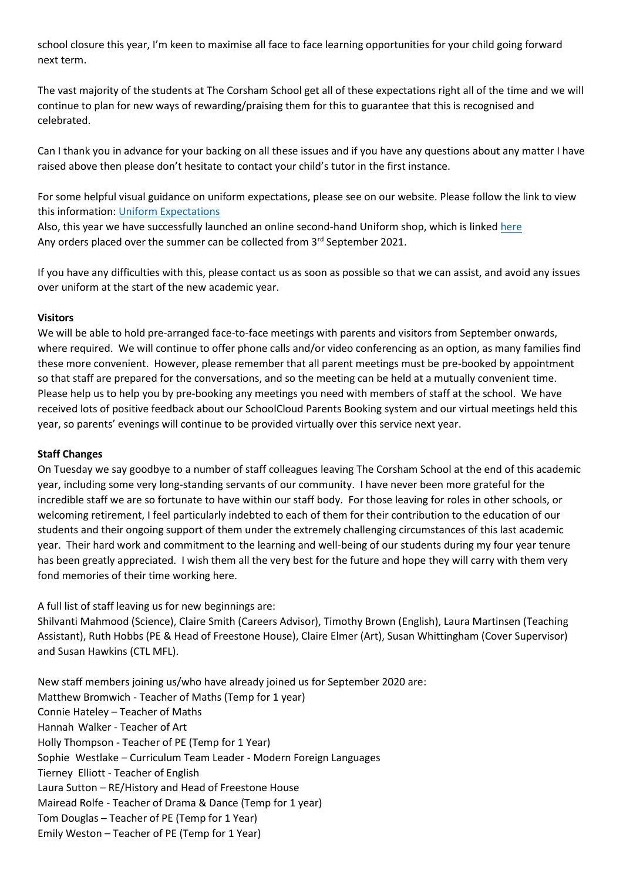school closure this year, I'm keen to maximise all face to face learning opportunities for your child going forward next term.

The vast majority of the students at The Corsham School get all of these expectations right all of the time and we will continue to plan for new ways of rewarding/praising them for this to guarantee that this is recognised and celebrated.

Can I thank you in advance for your backing on all these issues and if you have any questions about any matter I have raised above then please don't hesitate to contact your child's tutor in the first instance.

For some helpful visual guidance on uniform expectations, please see on our website. Please follow the link to view this information: [Uniform Expectations](http://www.corsham.wilts.sch.uk/page/?title=Uniform&pid=116)

Also, this year we have successfully launched an online second-hand Uniform shop, which is linked [here](https://app.uniformd.co.uk/items/20) Any orders placed over the summer can be collected from 3<sup>rd</sup> September 2021.

If you have any difficulties with this, please contact us as soon as possible so that we can assist, and avoid any issues over uniform at the start of the new academic year.

### **Visitors**

We will be able to hold pre-arranged face-to-face meetings with parents and visitors from September onwards, where required. We will continue to offer phone calls and/or video conferencing as an option, as many families find these more convenient. However, please remember that all parent meetings must be pre-booked by appointment so that staff are prepared for the conversations, and so the meeting can be held at a mutually convenient time. Please help us to help you by pre-booking any meetings you need with members of staff at the school. We have received lots of positive feedback about our SchoolCloud Parents Booking system and our virtual meetings held this year, so parents' evenings will continue to be provided virtually over this service next year.

#### **Staff Changes**

On Tuesday we say goodbye to a number of staff colleagues leaving The Corsham School at the end of this academic year, including some very long-standing servants of our community. I have never been more grateful for the incredible staff we are so fortunate to have within our staff body. For those leaving for roles in other schools, or welcoming retirement, I feel particularly indebted to each of them for their contribution to the education of our students and their ongoing support of them under the extremely challenging circumstances of this last academic year. Their hard work and commitment to the learning and well-being of our students during my four year tenure has been greatly appreciated. I wish them all the very best for the future and hope they will carry with them very fond memories of their time working here.

A full list of staff leaving us for new beginnings are:

Shilvanti Mahmood (Science), Claire Smith (Careers Advisor), Timothy Brown (English), Laura Martinsen (Teaching Assistant), Ruth Hobbs (PE & Head of Freestone House), Claire Elmer (Art), Susan Whittingham (Cover Supervisor) and Susan Hawkins (CTL MFL).

New staff members joining us/who have already joined us for September 2020 are: Matthew Bromwich - Teacher of Maths (Temp for 1 year) Connie Hateley – Teacher of Maths Hannah Walker - Teacher of Art Holly Thompson - Teacher of PE (Temp for 1 Year) Sophie Westlake – Curriculum Team Leader - Modern Foreign Languages Tierney Elliott - Teacher of English Laura Sutton – RE/History and Head of Freestone House Mairead Rolfe - Teacher of Drama & Dance (Temp for 1 year) Tom Douglas – Teacher of PE (Temp for 1 Year) Emily Weston – Teacher of PE (Temp for 1 Year)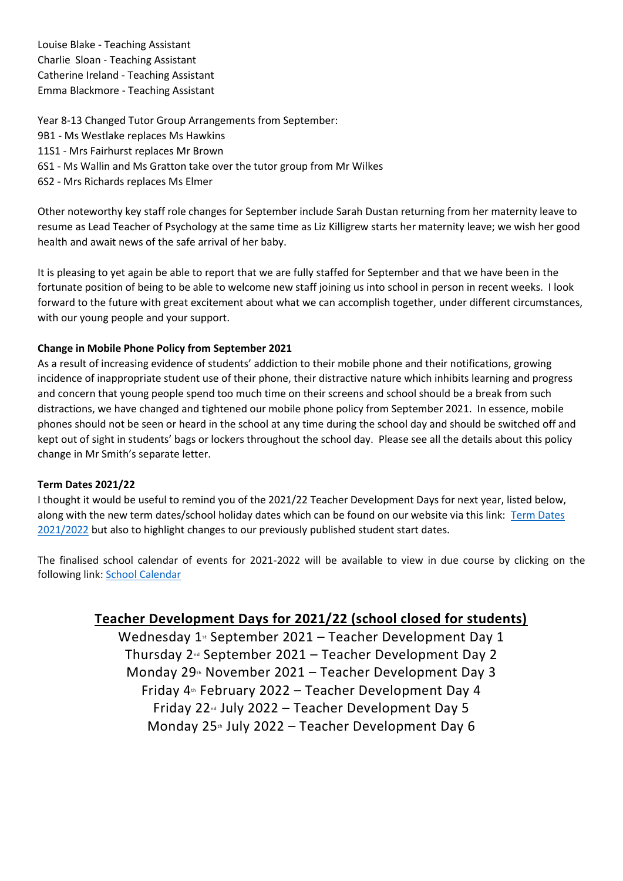Louise Blake - Teaching Assistant Charlie Sloan - Teaching Assistant Catherine Ireland - Teaching Assistant Emma Blackmore - Teaching Assistant

Year 8-13 Changed Tutor Group Arrangements from September:

- 9B1 Ms Westlake replaces Ms Hawkins
- 11S1 Mrs Fairhurst replaces Mr Brown
- 6S1 Ms Wallin and Ms Gratton take over the tutor group from Mr Wilkes
- 6S2 Mrs Richards replaces Ms Elmer

Other noteworthy key staff role changes for September include Sarah Dustan returning from her maternity leave to resume as Lead Teacher of Psychology at the same time as Liz Killigrew starts her maternity leave; we wish her good health and await news of the safe arrival of her baby.

It is pleasing to yet again be able to report that we are fully staffed for September and that we have been in the fortunate position of being to be able to welcome new staff joining us into school in person in recent weeks. I look forward to the future with great excitement about what we can accomplish together, under different circumstances, with our young people and your support.

### **Change in Mobile Phone Policy from September 2021**

As a result of increasing evidence of students' addiction to their mobile phone and their notifications, growing incidence of inappropriate student use of their phone, their distractive nature which inhibits learning and progress and concern that young people spend too much time on their screens and school should be a break from such distractions, we have changed and tightened our mobile phone policy from September 2021. In essence, mobile phones should not be seen or heard in the school at any time during the school day and should be switched off and kept out of sight in students' bags or lockers throughout the school day. Please see all the details about this policy change in Mr Smith's separate letter.

#### **Term Dates 2021/22**

I thought it would be useful to remind you of the 2021/22 Teacher Development Days for next year, listed below, along with the new term dates/school holiday dates which can be found on our website via this link: [Term Dates](https://www.corsham.wilts.sch.uk/page/?title=Term+dates&pid=17)  [2021/2022](https://www.corsham.wilts.sch.uk/page/?title=Term+dates&pid=17) but also to highlight changes to our previously published student start dates.

The finalised school calendar of events for 2021-2022 will be available to view in due course by clicking on the following link: [School Calendar](https://www.corsham.wilts.sch.uk/calendar/?calid=2,3,4&pid=13&viewid=3)

# **Teacher Development Days for 2021/22 (school closed for students)**

Wednesday  $1$ <sup>st</sup> September 2021 – Teacher Development Day 1 Thursday  $2<sup>nd</sup>$  September 2021 – Teacher Development Day 2 Monday  $29<sub>th</sub>$  November 2021 – Teacher Development Day 3 Friday  $4<sup>th</sup>$  February 2022 – Teacher Development Day 4 Friday 22 $\text{nd}$  July 2022 – Teacher Development Day 5 Monday  $25<sup>th</sup>$  July 2022 – Teacher Development Day 6